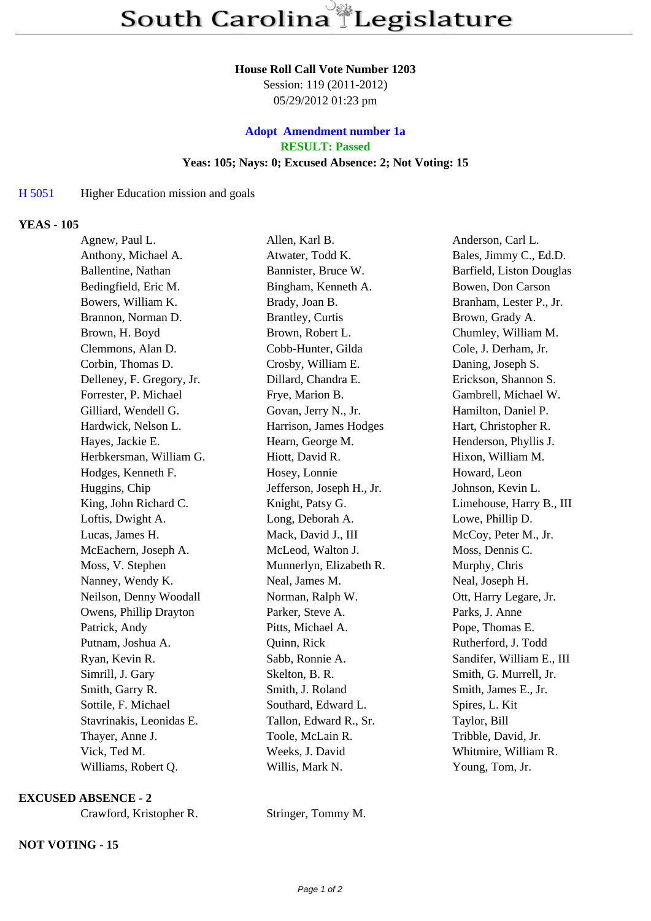### **House Roll Call Vote Number 1203**

Session: 119 (2011-2012) 05/29/2012 01:23 pm

# **Adopt Amendment number 1a RESULT: Passed Yeas: 105; Nays: 0; Excused Absence: 2; Not Voting: 15**

# H 5051 Higher Education mission and go[als](/amendments.php?KEY=23441)

## **YEAS - 105**

| Agnew, Paul L.            | Allen, Karl B.            | Anderson, Carl L.         |
|---------------------------|---------------------------|---------------------------|
| Anthony, Michael A.       | Atwater, Todd K.          | Bales, Jimmy C., Ed.D.    |
| Ballentine, Nathan        | Bannister, Bruce W.       | Barfield, Liston Douglas  |
| Bedingfield, Eric M.      | Bingham, Kenneth A.       | Bowen, Don Carson         |
| Bowers, William K.        | Brady, Joan B.            | Branham, Lester P., Jr.   |
| Brannon, Norman D.        | Brantley, Curtis          | Brown, Grady A.           |
| Brown, H. Boyd            | Brown, Robert L.          | Chumley, William M.       |
| Clemmons, Alan D.         | Cobb-Hunter, Gilda        | Cole, J. Derham, Jr.      |
| Corbin, Thomas D.         | Crosby, William E.        | Daning, Joseph S.         |
| Delleney, F. Gregory, Jr. | Dillard, Chandra E.       | Erickson, Shannon S.      |
| Forrester, P. Michael     | Frye, Marion B.           | Gambrell, Michael W.      |
| Gilliard, Wendell G.      | Govan, Jerry N., Jr.      | Hamilton, Daniel P.       |
| Hardwick, Nelson L.       | Harrison, James Hodges    | Hart, Christopher R.      |
| Hayes, Jackie E.          | Hearn, George M.          | Henderson, Phyllis J.     |
| Herbkersman, William G.   | Hiott, David R.           | Hixon, William M.         |
| Hodges, Kenneth F.        | Hosey, Lonnie             | Howard, Leon              |
| Huggins, Chip             | Jefferson, Joseph H., Jr. | Johnson, Kevin L.         |
| King, John Richard C.     | Knight, Patsy G.          | Limehouse, Harry B., III  |
| Loftis, Dwight A.         | Long, Deborah A.          | Lowe, Phillip D.          |
| Lucas, James H.           | Mack, David J., III       | McCoy, Peter M., Jr.      |
| McEachern, Joseph A.      | McLeod, Walton J.         | Moss, Dennis C.           |
| Moss, V. Stephen          | Munnerlyn, Elizabeth R.   | Murphy, Chris             |
| Nanney, Wendy K.          | Neal, James M.            | Neal, Joseph H.           |
| Neilson, Denny Woodall    | Norman, Ralph W.          | Ott, Harry Legare, Jr.    |
| Owens, Phillip Drayton    | Parker, Steve A.          | Parks, J. Anne            |
| Patrick, Andy             | Pitts, Michael A.         | Pope, Thomas E.           |
| Putnam, Joshua A.         | Quinn, Rick               | Rutherford, J. Todd       |
| Ryan, Kevin R.            | Sabb, Ronnie A.           | Sandifer, William E., III |
| Simrill, J. Gary          | Skelton, B. R.            | Smith, G. Murrell, Jr.    |
| Smith, Garry R.           | Smith, J. Roland          | Smith, James E., Jr.      |
| Sottile, F. Michael       | Southard, Edward L.       | Spires, L. Kit            |
| Stavrinakis, Leonidas E.  | Tallon, Edward R., Sr.    | Taylor, Bill              |
| Thayer, Anne J.           | Toole, McLain R.          | Tribble, David, Jr.       |
| Vick, Ted M.              | Weeks, J. David           | Whitmire, William R.      |
| Williams, Robert Q.       | Willis, Mark N.           | Young, Tom, Jr.           |

### **EXCUSED ABSENCE - 2**

Crawford, Kristopher R. Stringer, Tommy M.

# **NOT VOTING - 15**